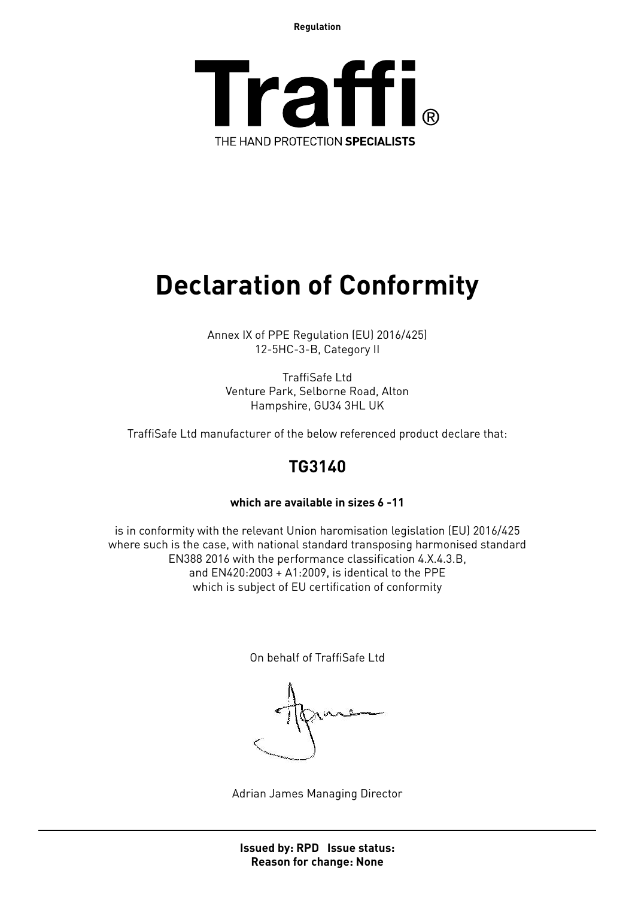**Regulation**



## **Declaration of Conformity**

Annex IX of PPE Regulation (EU) 2016/425) 12-5HC-3-B, Category II

TraffiSafe Ltd Venture Park, Selborne Road, Alton Hampshire, GU34 3HL UK

TraffiSafe Ltd manufacturer of the below referenced product declare that:

### **TG3140**

#### **which are available in sizes 6 -11**

is in conformity with the relevant Union haromisation legislation (EU) 2016/425 where such is the case, with national standard transposing harmonised standard EN388 2016 with the performance classification 4.X.4.3.B, and EN420:2003 + A1:2009, is identical to the PPE which is subject of EU certification of conformity

On behalf of TraffiSafe Ltd

Adrian James Managing Director

**Issued by: RPD Issue status: Reason for change: None**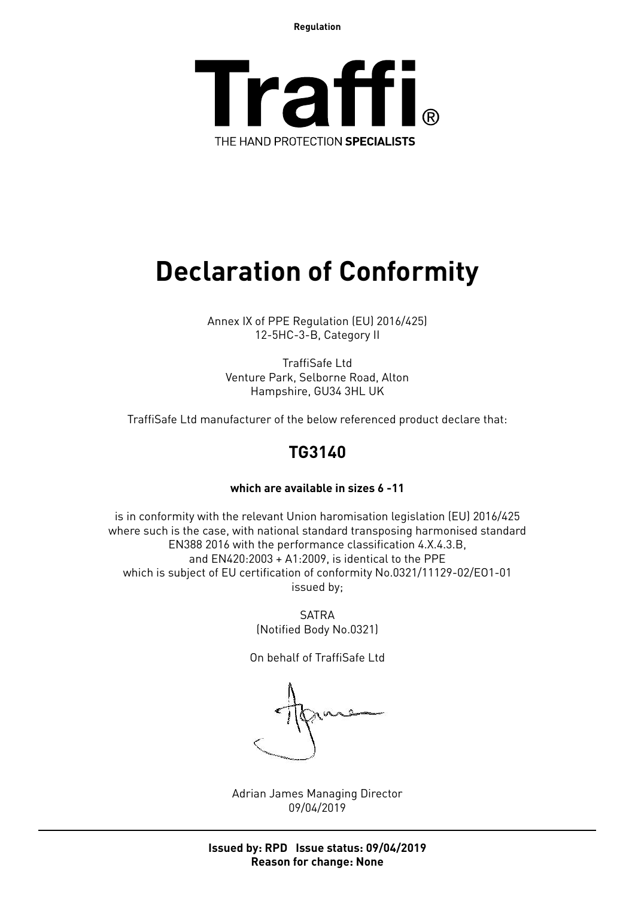**Regulation**



## **Declaration of Conformity**

Annex IX of PPE Regulation (EU) 2016/425) 12-5HC-3-B, Category II

TraffiSafe Ltd Venture Park, Selborne Road, Alton Hampshire, GU34 3HL UK

TraffiSafe Ltd manufacturer of the below referenced product declare that:

### **TG3140**

#### **which are available in sizes 6 -11**

is in conformity with the relevant Union haromisation legislation (EU) 2016/425 where such is the case, with national standard transposing harmonised standard EN388 2016 with the performance classification 4.X.4.3.B, and EN420:2003 + A1:2009, is identical to the PPE which is subject of EU certification of conformity No.0321/11129-02/EO1-01 issued by;

> SATRA (Notified Body No.0321)

On behalf of TraffiSafe Ltd

Adrian James Managing Director 09/04/2019